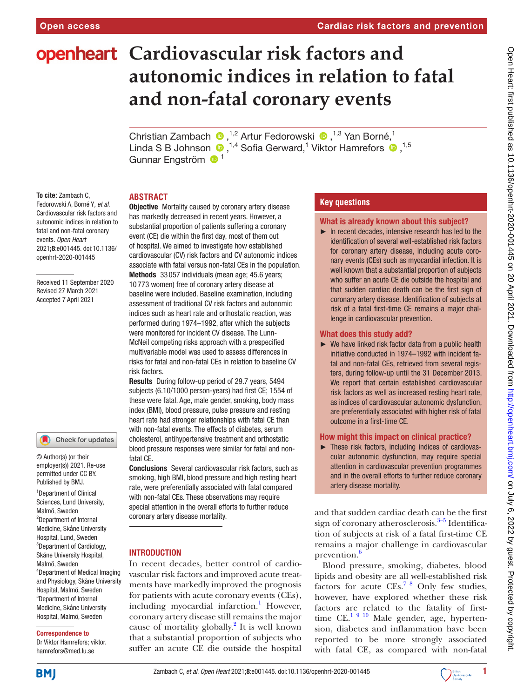# **openheart** Cardiovascular risk factors and **autonomic indices in relation to fatal and non-fatal coronary events**

Christian Zambach  $\bullet$ , <sup>1,2</sup> Artur Fedorowski  $\bullet$ , <sup>1,3</sup> Yan Borné, <sup>1</sup> Linda S B Johnson  $\bigcirc$ ,<sup>1,4</sup> Sofia Gerward,<sup>1</sup> Viktor Hamrefors  $\bigcirc$ ,<sup>1,5</sup> Gunnar Engström <sup>1</sup>

# **ABSTRACT**

**To cite:** Zambach C, Fedorowski A, Borné Y*, et al*. Cardiovascular risk factors and autonomic indices in relation to fatal and non-fatal coronary events*. Open Heart* 2021;8:e001445. doi:10.1136/ openhrt-2020-001445

Received 11 September 2020 Revised 27 March 2021 Accepted 7 April 2021

#### Check for updates

© Author(s) (or their employer(s)) 2021. Re-use permitted under CC BY. Published by BMJ.

1 Department of Clinical Sciences, Lund University, Malmö, Sweden 2 Department of Internal Medicine, Skåne University Hospital, Lund, Sweden <sup>3</sup>Department of Cardiology, Skåne University Hospital, Malmö, Sweden 4 Department of Medical Imaging and Physiology, Skåne University Hospital, Malmö, Sweden 5 Department of Internal Medicine, Skåne University Hospital, Malmö, Sweden

#### Correspondence to

Dr Viktor Hamrefors; viktor. hamrefors@med.lu.se

**Objective** Mortality caused by coronary artery disease has markedly decreased in recent years. However, a substantial proportion of patients suffering a coronary event (CE) die within the first day, most of them out of hospital. We aimed to investigate how established cardiovascular (CV) risk factors and CV autonomic indices associate with fatal versus non-fatal CEs in the population. Methods 33057 individuals (mean age: 45.6 years: 10 773 women) free of coronary artery disease at baseline were included. Baseline examination, including assessment of traditional CV risk factors and autonomic indices such as heart rate and orthostatic reaction, was performed during 1974–1992, after which the subjects were monitored for incident CV disease. The Lunn-McNeil competing risks approach with a prespecified multivariable model was used to assess differences in risks for fatal and non-fatal CEs in relation to baseline CV risk factors.

Results During follow-up period of 29.7 years, 5494 subjects (6.10/1000 person-years) had first CE; 1554 of these were fatal. Age, male gender, smoking, body mass index (BMI), blood pressure, pulse pressure and resting heart rate had stronger relationships with fatal CE than with non-fatal events. The effects of diabetes, serum cholesterol, antihypertensive treatment and orthostatic blood pressure responses were similar for fatal and nonfatal CE.

Conclusions Several cardiovascular risk factors, such as smoking, high BMI, blood pressure and high resting heart rate, were preferentially associated with fatal compared with non-fatal CEs. These observations may require special attention in the overall efforts to further reduce coronary artery disease mortality.

## INTRODUCTION

In recent decades, better control of cardiovascular risk factors and improved acute treatments have markedly improved the prognosis for patients with acute coronary events (CEs), including myocardial infarction.<sup>[1](#page-5-0)</sup> However, coronary artery disease still remains the major cause of mortality globally. $^{2}$  It is well known that a substantial proportion of subjects who suffer an acute CE die outside the hospital

# **Key questions**

# What is already known about this subject?

► In recent decades, intensive research has led to the identification of several well-established risk factors for coronary artery disease, including acute coronary events (CEs) such as myocardial infection. It is well known that a substantial proportion of subjects who suffer an acute CE die outside the hospital and that sudden cardiac death can be the first sign of coronary artery disease. Identification of subjects at risk of a fatal first-time CE remains a major challenge in cardiovascular prevention.

#### What does this study add?

► We have linked risk factor data from a public health initiative conducted in 1974–1992 with incident fatal and non-fatal CEs, retrieved from several registers, during follow-up until the 31 December 2013. We report that certain established cardiovascular risk factors as well as increased resting heart rate, as indices of cardiovascular autonomic dysfunction, are preferentially associated with higher risk of fatal outcome in a first-time CE.

#### How might this impact on clinical practice?

► These risk factors, including indices of cardiovascular autonomic dysfunction, may require special attention in cardiovascular prevention programmes and in the overall efforts to further reduce coronary artery disease mortality.

and that sudden cardiac death can be the first sign of coronary atherosclerosis.<sup>3-5</sup> Identification of subjects at risk of a fatal first-time CE remains a major challenge in cardiovascular prevention.<sup>[6](#page-6-2)</sup>

Blood pressure, smoking, diabetes, blood lipids and obesity are all well-established risk factors for acute CEs.[7 8](#page-6-3) Only few studies, however, have explored whether these risk factors are related to the fatality of firsttime CE.<sup>1 9 10</sup> Male gender, age, hypertension, diabetes and inflammation have been reported to be more strongly associated with fatal CE, as compared with non-fatal

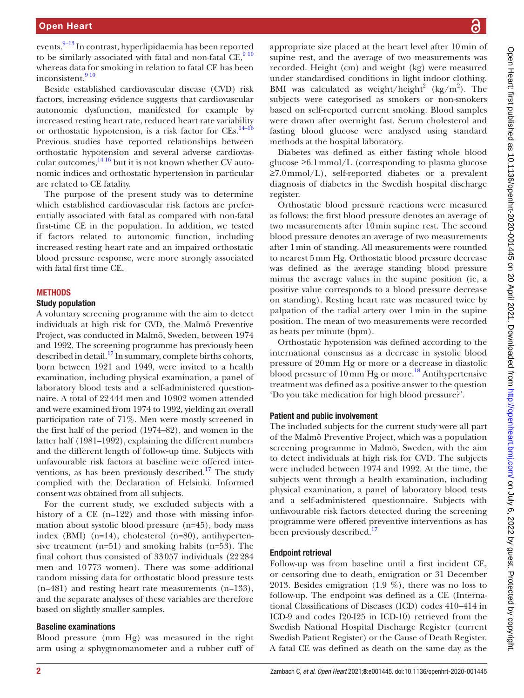events.<sup>9–13</sup> In contrast, hyperlipidaemia has been reported to be similarly associated with fatal and non-fatal  $CE$ ,  $9^{10}$ whereas data for smoking in relation to fatal CE has been inconsistent.<sup>910</sup>

Beside established cardiovascular disease (CVD) risk factors, increasing evidence suggests that cardiovascular autonomic dysfunction, manifested for example by increased resting heart rate, reduced heart rate variability or orthostatic hypotension, is a risk factor for CEs.<sup>[14–16](#page-6-5)</sup> Previous studies have reported relationships between orthostatic hypotension and several adverse cardiovascular outcomes, $1416$  but it is not known whether CV autonomic indices and orthostatic hypertension in particular are related to CE fatality.

The purpose of the present study was to determine which established cardiovascular risk factors are preferentially associated with fatal as compared with non-fatal first-time CE in the population. In addition, we tested if factors related to autonomic function, including increased resting heart rate and an impaired orthostatic blood pressure response, were more strongly associated with fatal first time CE.

#### **METHODS**

#### Study population

A voluntary screening programme with the aim to detect individuals at high risk for CVD, the Malmö Preventive Project, was conducted in Malmö, Sweden, between 1974 and 1992. The screening programme has previously been described in detail.<sup>17</sup> In summary, complete births cohorts, born between 1921 and 1949, were invited to a health examination, including physical examination, a panel of laboratory blood tests and a self-administered questionnaire. A total of 22444 men and 10902 women attended and were examined from 1974 to 1992, yielding an overall participation rate of 71%. Men were mostly screened in the first half of the period (1974–82), and women in the latter half (1981–1992), explaining the different numbers and the different length of follow‐up time. Subjects with unfavourable risk factors at baseline were offered interventions, as has been previously described.<sup>17</sup> The study complied with the Declaration of Helsinki. Informed consent was obtained from all subjects.

For the current study, we excluded subjects with a history of a CE (n=122) and those with missing information about systolic blood pressure (n=45), body mass index (BMI) (n=14), cholesterol (n=80), antihypertensive treatment (n=51) and smoking habits (n=53). The final cohort thus consisted of 33057 individuals (22284 men and 10773 women). There was some additional random missing data for orthostatic blood pressure tests (n=481) and resting heart rate measurements (n=133), and the separate analyses of these variables are therefore based on slightly smaller samples.

#### Baseline examinations

Blood pressure (mm Hg) was measured in the right arm using a sphygmomanometer and a rubber cuff of

appropriate size placed at the heart level after 10min of supine rest, and the average of two measurements was recorded. Height (cm) and weight (kg) were measured under standardised conditions in light indoor clothing. BMI was calculated as weight/height<sup>2</sup> (kg/m<sup>2</sup>). The subjects were categorised as smokers or non-smokers based on self-reported current smoking. Blood samples were drawn after overnight fast. Serum cholesterol and fasting blood glucose were analysed using standard methods at the hospital laboratory.

Diabetes was defined as either fasting whole blood glucose ≥6.1mmol/L (corresponding to plasma glucose ≥7.0mmol/L), self-reported diabetes or a prevalent diagnosis of diabetes in the Swedish hospital discharge register.

Orthostatic blood pressure reactions were measured as follows: the first blood pressure denotes an average of two measurements after 10min supine rest. The second blood pressure denotes an average of two measurements after 1min of standing. All measurements were rounded to nearest 5mm Hg. Orthostatic blood pressure decrease was defined as the average standing blood pressure minus the average values in the supine position (ie, a positive value corresponds to a blood pressure decrease on standing). Resting heart rate was measured twice by palpation of the radial artery over 1min in the supine position. The mean of two measurements were recorded as beats per minute (bpm).

Orthostatic hypotension was defined according to the international consensus as a decrease in systolic blood pressure of 20mm Hg or more or a decrease in diastolic blood pressure of  $10 \,\mathrm{mm}$  Hg or more.<sup>18</sup> Antihypertensive treatment was defined as a positive answer to the question 'Do you take medication for high blood pressure?'.

#### Patient and public involvement

The included subjects for the current study were all part of the Malmö Preventive Project, which was a population screening programme in Malmö, Sweden, with the aim to detect individuals at high risk for CVD. The subjects were included between 1974 and 1992. At the time, the subjects went through a health examination, including physical examination, a panel of laboratory blood tests and a self-administered questionnaire. Subjects with unfavourable risk factors detected during the screening programme were offered preventive interventions as has been previously described.<sup>[17](#page-6-6)</sup>

### Endpoint retrieval

Follow-up was from baseline until a first incident CE, or censoring due to death, emigration or 31 December 2013. Besides emigration (1.9 %), there was no loss to follow-up. The endpoint was defined as a CE (International Classifications of Diseases (ICD) codes 410–414 in ICD-9 and codes I20-I25 in ICD-10) retrieved from the Swedish National Hospital Discharge Register (current Swedish Patient Register) or the Cause of Death Register. A fatal CE was defined as death on the same day as the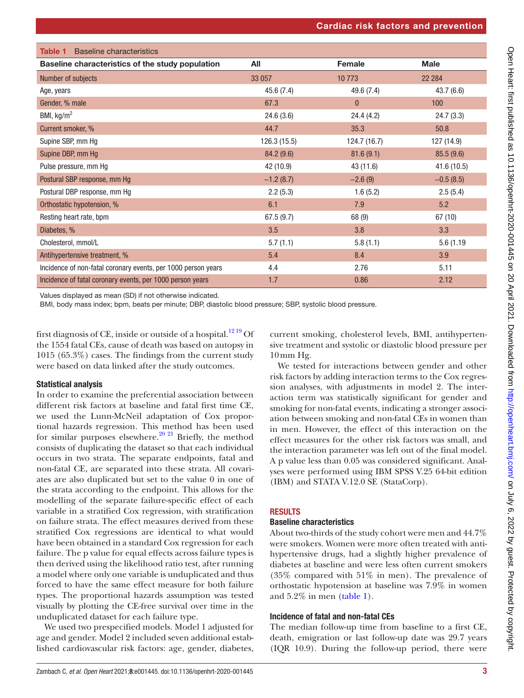<span id="page-2-0"></span>

| <b>Baseline characteristics</b><br><b>Table 1</b>             |              |              |             |
|---------------------------------------------------------------|--------------|--------------|-------------|
| Baseline characteristics of the study population              | All          | Female       | <b>Male</b> |
| Number of subjects                                            | 33 057       | 10773        | 22 2 84     |
| Age, years                                                    | 45.6 (7.4)   | 49.6 (7.4)   | 43.7(6.6)   |
| Gender, % male                                                | 67.3         | $\mathbf{0}$ | 100         |
| BMI, $kg/m2$                                                  | 24.6(3.6)    | 24.4 (4.2)   | 24.7(3.3)   |
| Current smoker, %                                             | 44.7         | 35.3         | 50.8        |
| Supine SBP, mm Hg                                             | 126.3 (15.5) | 124.7 (16.7) | 127 (14.9)  |
| Supine DBP, mm Hg                                             | 84.2(9.6)    | 81.6(9.1)    | 85.5(9.6)   |
| Pulse pressure, mm Hg                                         | 42 (10.9)    | 43 (11.6)    | 41.6(10.5)  |
| Postural SBP response, mm Hg                                  | $-1.2(8.7)$  | $-2.6(9)$    | $-0.5(8.5)$ |
| Postural DBP response, mm Hg                                  | 2.2(5.3)     | 1.6(5.2)     | 2.5(5.4)    |
| Orthostatic hypotension, %                                    | 6.1          | 7.9          | 5.2         |
| Resting heart rate, bpm                                       | 67.5(9.7)    | 68 (9)       | 67 (10)     |
| Diabetes, %                                                   | 3.5          | 3.8          | 3.3         |
| Cholesterol, mmol/L                                           | 5.7(1.1)     | 5.8(1.1)     | 5.6 (1.19   |
| Antihypertensive treatment, %                                 | 5.4          | 8.4          | 3.9         |
| Incidence of non-fatal coronary events, per 1000 person years | 4.4          | 2.76         | 5.11        |
| Incidence of fatal coronary events, per 1000 person years     | 1.7          | 0.86         | 2.12        |

Values displayed as mean (SD) if not otherwise indicated.

BMI, body mass index; bpm, beats per minute; DBP, diastolic blood pressure; SBP, systolic blood pressure.

first diagnosis of CE, inside or outside of a hospital. $1219$  Of the 1554 fatal CEs, cause of death was based on autopsy in 1015 (65.3%) cases. The findings from the current study were based on data linked after the study outcomes.

## Statistical analysis

In order to examine the preferential association between different risk factors at baseline and fatal first time CE, we used the Lunn-McNeil adaptation of Cox proportional hazards regression. This method has been used for similar purposes elsewhere.<sup>[20 21](#page-6-9)</sup> Briefly, the method consists of duplicating the dataset so that each individual occurs in two strata. The separate endpoints, fatal and non-fatal CE, are separated into these strata. All covariates are also duplicated but set to the value 0 in one of the strata according to the endpoint. This allows for the modelling of the separate failure-specific effect of each variable in a stratified Cox regression, with stratification on failure strata. The effect measures derived from these stratified Cox regressions are identical to what would have been obtained in a standard Cox regression for each failure. The p value for equal effects across failure types is then derived using the likelihood ratio test, after running a model where only one variable is unduplicated and thus forced to have the same effect measure for both failure types. The proportional hazards assumption was tested visually by plotting the CE-free survival over time in the unduplicated dataset for each failure type.

We used two prespecified models. Model 1 adjusted for age and gender. Model 2 included seven additional established cardiovascular risk factors: age, gender, diabetes,

current smoking, cholesterol levels, BMI, antihypertensive treatment and systolic or diastolic blood pressure per 10mm Hg.

We tested for interactions between gender and other risk factors by adding interaction terms to the Cox regression analyses, with adjustments in model 2. The interaction term was statistically significant for gender and smoking for non-fatal events, indicating a stronger association between smoking and non-fatal CEs in women than in men. However, the effect of this interaction on the effect measures for the other risk factors was small, and the interaction parameter was left out of the final model. A p value less than 0.05 was considered significant. Analyses were performed using IBM SPSS V.25 64-bit edition (IBM) and STATA V.12.0 SE (StataCorp).

# RESULTS

## Baseline characteristics

About two-thirds of the study cohort were men and 44.7% were smokers. Women were more often treated with antihypertensive drugs, had a slightly higher prevalence of diabetes at baseline and were less often current smokers (35% compared with 51% in men). The prevalence of orthostatic hypotension at baseline was 7.9% in women and  $5.2\%$  in men ([table](#page-2-0) 1).

# Incidence of fatal and non-fatal CEs

The median follow-up time from baseline to a first CE, death, emigration or last follow-up date was 29.7 years (IQR 10.9). During the follow-up period, there were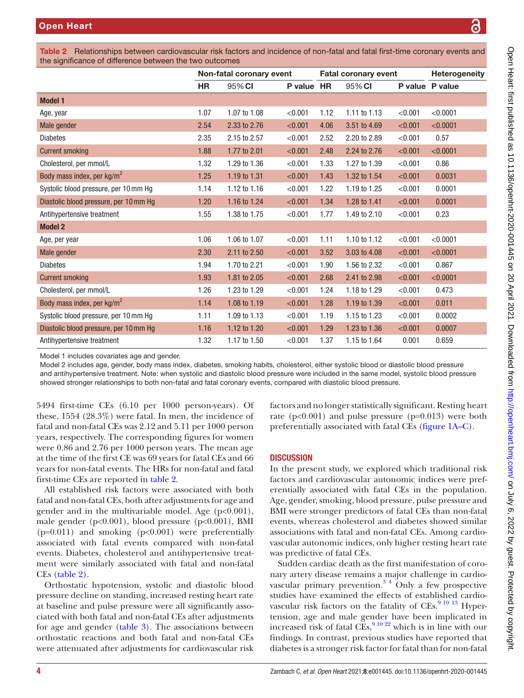Table 2 Relationships between cardiovascular risk factors and incidence of non-fatal and fatal first-time coronary events and the significance of difference between the two outcomes

<span id="page-3-0"></span>

| the significance of uniquence between the two outcomes |                          |              |            |                             |              |         |                 |
|--------------------------------------------------------|--------------------------|--------------|------------|-----------------------------|--------------|---------|-----------------|
|                                                        | Non-fatal coronary event |              |            | <b>Fatal coronary event</b> |              |         | Heterogeneity   |
|                                                        | HR                       | 95% CI       | P value HR |                             | 95% CI       |         | P value P value |
| <b>Model 1</b>                                         |                          |              |            |                             |              |         |                 |
| Age, year                                              | 1.07                     | 1.07 to 1.08 | < 0.001    | 1.12                        | 1.11 to 1.13 | < 0.001 | < 0.0001        |
| Male gender                                            | 2.54                     | 2.33 to 2.76 | < 0.001    | 4.06                        | 3.51 to 4.69 | < 0.001 | < 0.0001        |
| <b>Diabetes</b>                                        | 2.35                     | 2.15 to 2.57 | < 0.001    | 2.52                        | 2.20 to 2.89 | < 0.001 | 0.57            |
| <b>Current smoking</b>                                 | 1.88                     | 1.77 to 2.01 | < 0.001    | 2.48                        | 2.24 to 2.76 | < 0.001 | < 0.0001        |
| Cholesterol, per mmol/L                                | 1.32                     | 1.29 to 1.36 | < 0.001    | 1.33                        | 1.27 to 1.39 | < 0.001 | 0.86            |
| Body mass index, per kg/m <sup>2</sup>                 | 1.25                     | 1.19 to 1.31 | < 0.001    | 1.43                        | 1.32 to 1.54 | < 0.001 | 0.0031          |
| Systolic blood pressure, per 10 mm Hg                  | 1.14                     | 1.12 to 1.16 | < 0.001    | 1.22                        | 1.19 to 1.25 | < 0.001 | 0.0001          |
| Diastolic blood pressure, per 10 mm Hg                 | 1.20                     | 1.16 to 1.24 | < 0.001    | 1.34                        | 1.28 to 1.41 | < 0.001 | 0.0001          |
| Antihypertensive treatment                             | 1.55                     | 1.38 to 1.75 | < 0.001    | 1.77                        | 1.49 to 2.10 | < 0.001 | 0.23            |
| <b>Model 2</b>                                         |                          |              |            |                             |              |         |                 |
| Age, per year                                          | 1.06                     | 1.06 to 1.07 | < 0.001    | 1.11                        | 1.10 to 1.12 | < 0.001 | < 0.0001        |
| Male gender                                            | 2.30                     | 2.11 to 2.50 | < 0.001    | 3.52                        | 3.03 to 4.08 | < 0.001 | < 0.0001        |
| <b>Diabetes</b>                                        | 1.94                     | 1.70 to 2.21 | < 0.001    | 1.90                        | 1.56 to 2.32 | < 0.001 | 0.867           |
| <b>Current smoking</b>                                 | 1.93                     | 1.81 to 2.05 | < 0.001    | 2.68                        | 2.41 to 2.98 | < 0.001 | < 0.0001        |
| Cholesterol, per mmol/L                                | 1.26                     | 1.23 to 1.29 | < 0.001    | 1.24                        | 1.18 to 1.29 | < 0.001 | 0.473           |
| Body mass index, per kg/m <sup>2</sup>                 | 1.14                     | 1.08 to 1.19 | < 0.001    | 1.28                        | 1.19 to 1.39 | < 0.001 | 0.011           |
| Systolic blood pressure, per 10 mm Hg                  | 1.11                     | 1.09 to 1.13 | < 0.001    | 1.19                        | 1.15 to 1.23 | < 0.001 | 0.0002          |
| Diastolic blood pressure, per 10 mm Hg                 | 1.16                     | 1.12 to 1.20 | < 0.001    | 1.29                        | 1.23 to 1.36 | < 0.001 | 0.0007          |
| Antihypertensive treatment                             | 1.32                     | 1.17 to 1.50 | < 0.001    | 1.37                        | 1.15 to 1.64 | 0.001   | 0.659           |

Model 1 includes covariates age and gender.

Model 2 includes age, gender, body mass index, diabetes, smoking habits, cholesterol, either systolic blood or diastolic blood pressure and antihypertensive treatment. Note: when systolic and diastolic blood pressure were included in the same model, systolic blood pressure showed stronger relationships to both non-fatal and fatal coronary events, compared with diastolic blood pressure.

5494 first-time CEs (6.10 per 1000 person-years). Of these, 1554 (28.3%) were fatal. In men, the incidence of fatal and non-fatal CEs was 2.12 and 5.11 per 1000 person years, respectively. The corresponding figures for women were 0.86 and 2.76 per 1000 person years. The mean age at the time of the first CE was 69 years for fatal CEs and 66 years for non-fatal events. The HRs for non-fatal and fatal first-time CEs are reported in [table](#page-3-0) 2.

All established risk factors were associated with both fatal and non-fatal CEs, both after adjustments for age and gender and in the multivariable model. Age  $(p<0.001)$ , male gender (p<0.001), blood pressure (p<0.001), BMI  $(p=0.011)$  and smoking  $(p<0.001)$  were preferentially associated with fatal events compared with non-fatal events. Diabetes, cholesterol and antihypertensive treatment were similarly associated with fatal and non-fatal CEs [\(table](#page-3-0) 2).

Orthostatic hypotension, systolic and diastolic blood pressure decline on standing, increased resting heart rate at baseline and pulse pressure were all significantly associated with both fatal and non-fatal CEs after adjustments for age and gender ([table](#page-4-0) 3). The associations between orthostatic reactions and both fatal and non-fatal CEs were attenuated after adjustments for cardiovascular risk

factors and no longer statistically significant. Resting heart rate  $(p<0.001)$  and pulse pressure  $(p=0.013)$  were both preferentially associated with fatal CEs [\(figure](#page-5-1) 1A–C).

## **DISCUSSION**

In the present study, we explored which traditional risk factors and cardiovascular autonomic indices were preferentially associated with fatal CEs in the population. Age, gender, smoking, blood pressure, pulse pressure and BMI were stronger predictors of fatal CEs than non-fatal events, whereas cholesterol and diabetes showed similar associations with fatal and non-fatal CEs. Among cardiovascular autonomic indices, only higher resting heart rate was predictive of fatal CEs.

Sudden cardiac death as the first manifestation of coronary artery disease remains a major challenge in cardiovascular primary prevention. $3<sup>4</sup>$  Only a few prospective studies have examined the effects of established cardiovascular risk factors on the fatality of  $CEs$ . <sup>[9 10 13](#page-6-4)</sup> Hypertension, age and male gender have been implicated in increased risk of fatal  $CEs$ ,  $9^{10\ 22}$  which is in line with our findings. In contrast, previous studies have reported that diabetes is a stronger risk factor for fatal than for non-fatal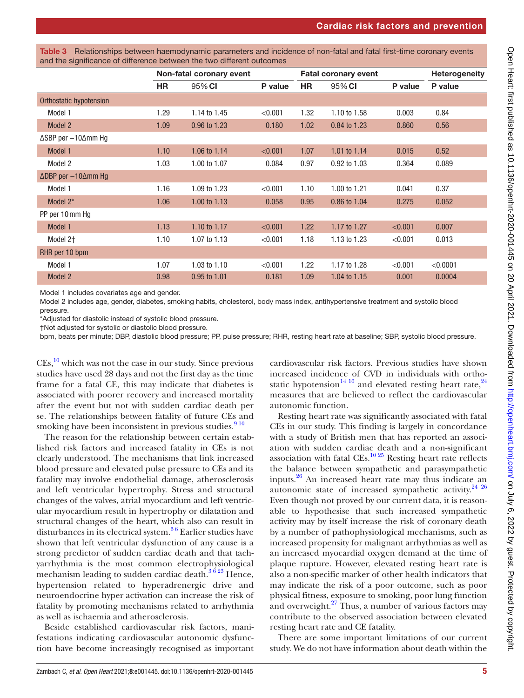<span id="page-4-0"></span>

| Table 3 Relationships between haemodynamic parameters and incidence of non-fatal and fatal first-time coronary events |
|-----------------------------------------------------------------------------------------------------------------------|
| and the significance of difference between the two different outcomes                                                 |

|                                          | Non-fatal coronary event |              |         |           | <b>Fatal coronary event</b> | <b>Heterogeneity</b> |          |
|------------------------------------------|--------------------------|--------------|---------|-----------|-----------------------------|----------------------|----------|
|                                          | <b>HR</b>                | 95% CI       | P value | <b>HR</b> | 95% CI                      | P value              | P value  |
| Orthostatic hypotension                  |                          |              |         |           |                             |                      |          |
| Model 1                                  | 1.29                     | 1.14 to 1.45 | < 0.001 | 1.32      | 1.10 to 1.58                | 0.003                | 0.84     |
| Model 2                                  | 1.09                     | 0.96 to 1.23 | 0.180   | 1.02      | 0.84 to 1.23                | 0.860                | 0.56     |
| $\triangle$ SBP per $-10\triangle$ mm Hg |                          |              |         |           |                             |                      |          |
| Model 1                                  | 1.10                     | 1.06 to 1.14 | < 0.001 | 1.07      | 1.01 to $1.14$              | 0.015                | 0.52     |
| Model 2                                  | 1.03                     | 1.00 to 1.07 | 0.084   | 0.97      | 0.92 to 1.03                | 0.364                | 0.089    |
| ∆DBP per -10∆mm Hg                       |                          |              |         |           |                             |                      |          |
| Model 1                                  | 1.16                     | 1.09 to 1.23 | < 0.001 | 1.10      | 1.00 to 1.21                | 0.041                | 0.37     |
| Model 2*                                 | 1.06                     | 1.00 to 1.13 | 0.058   | 0.95      | 0.86 to 1.04                | 0.275                | 0.052    |
| PP per 10 mm Hg                          |                          |              |         |           |                             |                      |          |
| Model 1                                  | 1.13                     | 1.10 to 1.17 | < 0.001 | 1.22      | 1.17 to 1.27                | < 0.001              | 0.007    |
| Model 2 <sup>+</sup>                     | 1.10                     | 1.07 to 1.13 | < 0.001 | 1.18      | 1.13 to 1.23                | < 0.001              | 0.013    |
| RHR per 10 bpm                           |                          |              |         |           |                             |                      |          |
| Model 1                                  | 1.07                     | 1.03 to 1.10 | < 0.001 | 1.22      | 1.17 to 1.28                | < 0.001              | < 0.0001 |
| Model 2                                  | 0.98                     | 0.95 to 1.01 | 0.181   | 1.09      | 1.04 to 1.15                | 0.001                | 0.0004   |

Model 1 includes covariates age and gender.

Model 2 includes age, gender, diabetes, smoking habits, cholesterol, body mass index, antihypertensive treatment and systolic blood pressure.

\*Adjusted for diastolic instead of systolic blood pressure.

†Not adjusted for systolic or diastolic blood pressure.

bpm, beats per minute; DBP, diastolic blood pressure; PP, pulse pressure; RHR, resting heart rate at baseline; SBP, systolic blood pressure.

 $CEs$ ,  $^{10}$  which was not the case in our study. Since previous studies have used 28 days and not the first day as the time frame for a fatal CE, this may indicate that diabetes is associated with poorer recovery and increased mortality after the event but not with sudden cardiac death per se. The relationships between fatality of future CEs and smoking have been inconsistent in previous studies.<sup>910</sup>

The reason for the relationship between certain established risk factors and increased fatality in CEs is not clearly understood. The mechanisms that link increased blood pressure and elevated pulse pressure to CEs and its fatality may involve endothelial damage, atherosclerosis and left ventricular hypertrophy. Stress and structural changes of the valves, atrial myocardium and left ventricular myocardium result in hypertrophy or dilatation and structural changes of the heart, which also can result in disturbances in its electrical system. $36$  Earlier studies have shown that left ventricular dysfunction of any cause is a strong predictor of sudden cardiac death and that tachyarrhythmia is the most common electrophysiological mechanism leading to sudden cardiac death. $3623$  Hence, hypertension related to hyperadrenergic drive and neuroendocrine hyper activation can increase the risk of fatality by promoting mechanisms related to arrhythmia as well as ischaemia and atherosclerosis.

Beside established cardiovascular risk factors, manifestations indicating cardiovascular autonomic dysfunction have become increasingly recognised as important

cardiovascular risk factors. Previous studies have shown increased incidence of CVD in individuals with ortho-static hypotension<sup>[14 16](#page-6-5)</sup> and elevated resting heart rate,  $24$ measures that are believed to reflect the cardiovascular autonomic function.

Resting heart rate was significantly associated with fatal CEs in our study. This finding is largely in concordance with a study of British men that has reported an association with sudden cardiac death and a non-significant association with fatal CEs. $^{10\,25}$  Resting heart rate reflects the balance between sympathetic and parasympathetic inputs. $26$  An increased heart rate may thus indicate an autonomic state of increased sympathetic activity.<sup>24</sup> <sup>26</sup> Even though not proved by our current data, it is reasonable to hypothesise that such increased sympathetic activity may by itself increase the risk of coronary death by a number of pathophysiological mechanisms, such as increased propensity for malignant arrhythmias as well as an increased myocardial oxygen demand at the time of plaque rupture. However, elevated resting heart rate is also a non-specific marker of other health indicators that may indicate the risk of a poor outcome, such as poor physical fitness, exposure to smoking, poor lung function and overweight. $27$  Thus, a number of various factors may contribute to the observed association between elevated resting heart rate and CE fatality.

There are some important limitations of our current study. We do not have information about death within the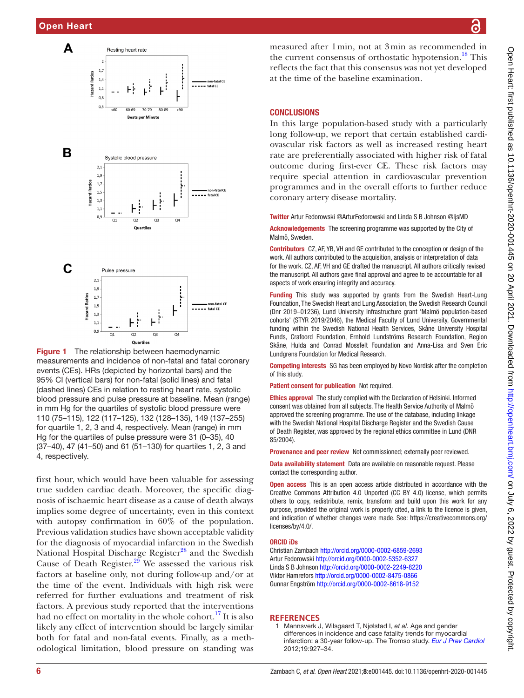

<span id="page-5-1"></span>Figure 1 The relationship between haemodynamic measurements and incidence of non-fatal and fatal coronary events (CEs). HRs (depicted by horizontal bars) and the 95% CI (vertical bars) for non-fatal (solid lines) and fatal (dashed lines) CEs in relation to resting heart rate, systolic blood pressure and pulse pressure at baseline. Mean (range) in mm Hg for the quartiles of systolic blood pressure were 110 (75–115), 122 (117–125), 132 (128–135), 149 (137–255) for quartile 1, 2, 3 and 4, respectively. Mean (range) in mm Hg for the quartiles of pulse pressure were 31 (0–35), 40 (37–40), 47 (41–50) and 61 (51–130) for quartiles 1, 2, 3 and 4, respectively.

first hour, which would have been valuable for assessing true sudden cardiac death. Moreover, the specific diagnosis of ischaemic heart disease as a cause of death always implies some degree of uncertainty, even in this context with autopsy confirmation in 60% of the population. Previous validation studies have shown acceptable validity for the diagnosis of myocardial infarction in the Swedish National Hospital Discharge Register<sup>[28](#page-6-14)</sup> and the Swedish Cause of Death Register.<sup>29</sup> We assessed the various risk factors at baseline only, not during follow-up and/or at the time of the event. Individuals with high risk were referred for further evaluations and treatment of risk factors. A previous study reported that the interventions had no effect on mortality in the whole cohort.<sup>17</sup> It is also likely any effect of intervention should be largely similar both for fatal and non-fatal events. Finally, as a methodological limitation, blood pressure on standing was

measured after 1min, not at 3min as recommended in the current consensus of orthostatic hypotension.<sup>18</sup> This reflects the fact that this consensus was not yet developed at the time of the baseline examination.

#### **CONCLUSIONS**

In this large population-based study with a particularly long follow-up, we report that certain established cardiovascular risk factors as well as increased resting heart rate are preferentially associated with higher risk of fatal outcome during first-ever CE. These risk factors may require special attention in cardiovascular prevention programmes and in the overall efforts to further reduce coronary artery disease mortality.

Twitter Artur Fedorowski [@ArturFedorowski](https://twitter.com/ArturFedorowski) and Linda S B Johnson [@ljsMD](https://twitter.com/ljsMD)

Acknowledgements The screening programme was supported by the City of Malmö, Sweden.

Contributors CZ, AF, YB, VH and GE contributed to the conception or design of the work. All authors contributed to the acquisition, analysis or interpretation of data for the work. CZ, AF, VH and GE drafted the manuscript. All authors critically revised the manuscript. All authors gave final approval and agree to be accountable for all aspects of work ensuring integrity and accuracy.

Funding This study was supported by grants from the Swedish Heart-Lung Foundation, The Swedish Heart and Lung Association, the Swedish Research Council (Dnr 2019–01236), Lund University Infrastructure grant 'Malmö population-based cohorts' (STYR 2019/2046), the Medical Faculty of Lund University, Governmental funding within the Swedish National Health Services, Skåne University Hospital Funds, Crafoord Foundation, Ernhold Lundströms Research Foundation, Region Skåne, Hulda and Conrad Mossfelt Foundation and Anna-Lisa and Sven Eric Lundgrens Foundation for Medical Research.

Competing interests SG has been employed by Novo Nordisk after the completion of this study.

Patient consent for publication Not required.

Ethics approval The study complied with the Declaration of Helsinki. Informed consent was obtained from all subjects. The Health Service Authority of Malmö approved the screening programme. The use of the database, including linkage with the Swedish National Hospital Discharge Register and the Swedish Cause of Death Register, was approved by the regional ethics committee in Lund (DNR 85/2004).

Provenance and peer review Not commissioned; externally peer reviewed.

Data availability statement Data are available on reasonable request. Please contact the corresponding author.

Open access This is an open access article distributed in accordance with the Creative Commons Attribution 4.0 Unported (CC BY 4.0) license, which permits others to copy, redistribute, remix, transform and build upon this work for any purpose, provided the original work is properly cited, a link to the licence is given, and indication of whether changes were made. See: [https://creativecommons.org/](https://creativecommons.org/licenses/by/4.0/) [licenses/by/4.0/](https://creativecommons.org/licenses/by/4.0/).

#### ORCID iDs

Christian Zambach<http://orcid.org/0000-0002-6859-2693> Artur Fedorowski<http://orcid.org/0000-0002-5352-6327> Linda S B Johnson <http://orcid.org/0000-0002-2249-8220> Viktor Hamrefors<http://orcid.org/0000-0002-8475-0866> Gunnar Engström<http://orcid.org/0000-0002-8618-9152>

#### **REFERENCES**

<span id="page-5-0"></span>1 Mannsverk J, Wilsgaard T, Njølstad I, *et al*. Age and gender differences in incidence and case fatality trends for myocardial infarction: a 30-year follow-up. The Tromso study. *[Eur J Prev Cardiol](http://dx.doi.org/10.1177/1741826711421081)* 2012;19:927–34.